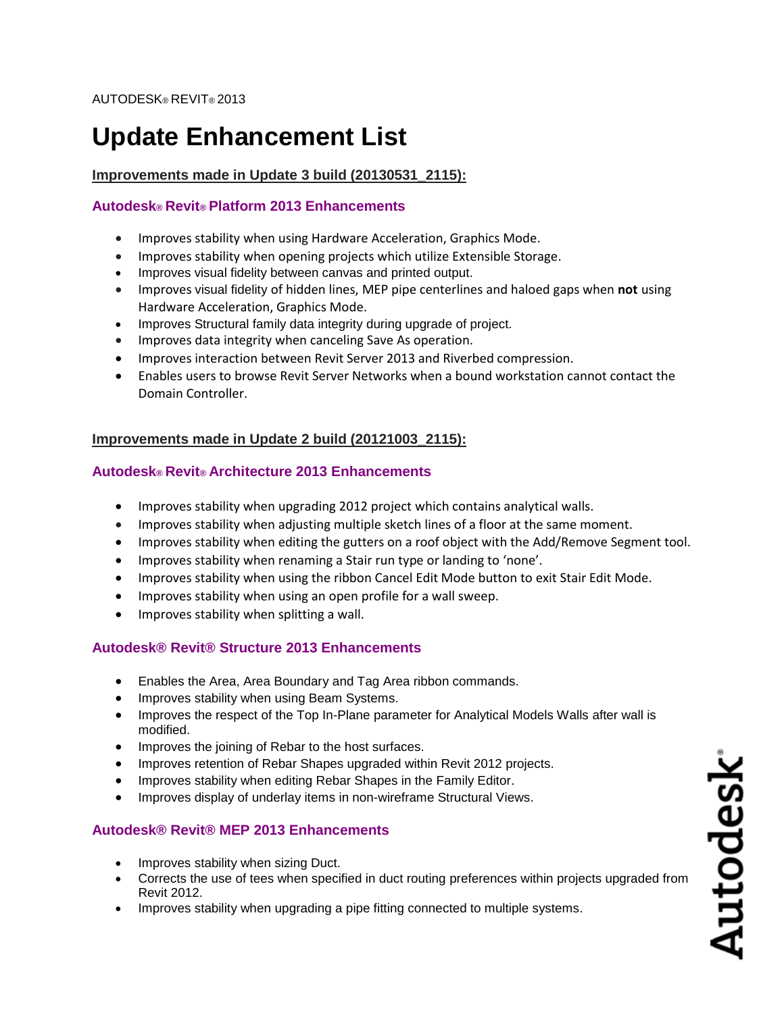# **Update Enhancement List**

## **Improvements made in Update 3 build (20130531\_2115):**

#### **Autodesk® Revit® Platform 2013 Enhancements**

- Improves stability when using Hardware Acceleration, Graphics Mode.
- Improves stability when opening projects which utilize Extensible Storage.
- Improves visual fidelity between canvas and printed output.
- Improves visual fidelity of hidden lines, MEP pipe centerlines and haloed gaps when **not** using Hardware Acceleration, Graphics Mode.
- Improves Structural family data integrity during upgrade of project.
- Improves data integrity when canceling Save As operation.
- Improves interaction between Revit Server 2013 and Riverbed compression.
- Enables users to browse Revit Server Networks when a bound workstation cannot contact the Domain Controller.

## **Improvements made in Update 2 build (20121003\_2115):**

#### **Autodesk® Revit® Architecture 2013 Enhancements**

- Improves stability when upgrading 2012 project which contains analytical walls.
- Improves stability when adjusting multiple sketch lines of a floor at the same moment.
- Improves stability when editing the gutters on a roof object with the Add/Remove Segment tool.
- Improves stability when renaming a Stair run type or landing to 'none'.
- Improves stability when using the ribbon Cancel Edit Mode button to exit Stair Edit Mode.
- Improves stability when using an open profile for a wall sweep.
- Improves stability when splitting a wall.

# **Autodesk® Revit® Structure 2013 Enhancements**

- Enables the Area, Area Boundary and Tag Area ribbon commands.
- Improves stability when using Beam Systems.
- Improves the respect of the Top In-Plane parameter for Analytical Models Walls after wall is modified.
- Improves the joining of Rebar to the host surfaces.
- Improves retention of Rebar Shapes upgraded within Revit 2012 projects.
- **•** Improves stability when editing Rebar Shapes in the Family Editor.
- Improves display of underlay items in non-wireframe Structural Views.

# **Autodesk® Revit® MEP 2013 Enhancements**

- Improves stability when sizing Duct.
- Corrects the use of tees when specified in duct routing preferences within projects upgraded from Revit 2012.
- Improves stability when upgrading a pipe fitting connected to multiple systems.

Autodesk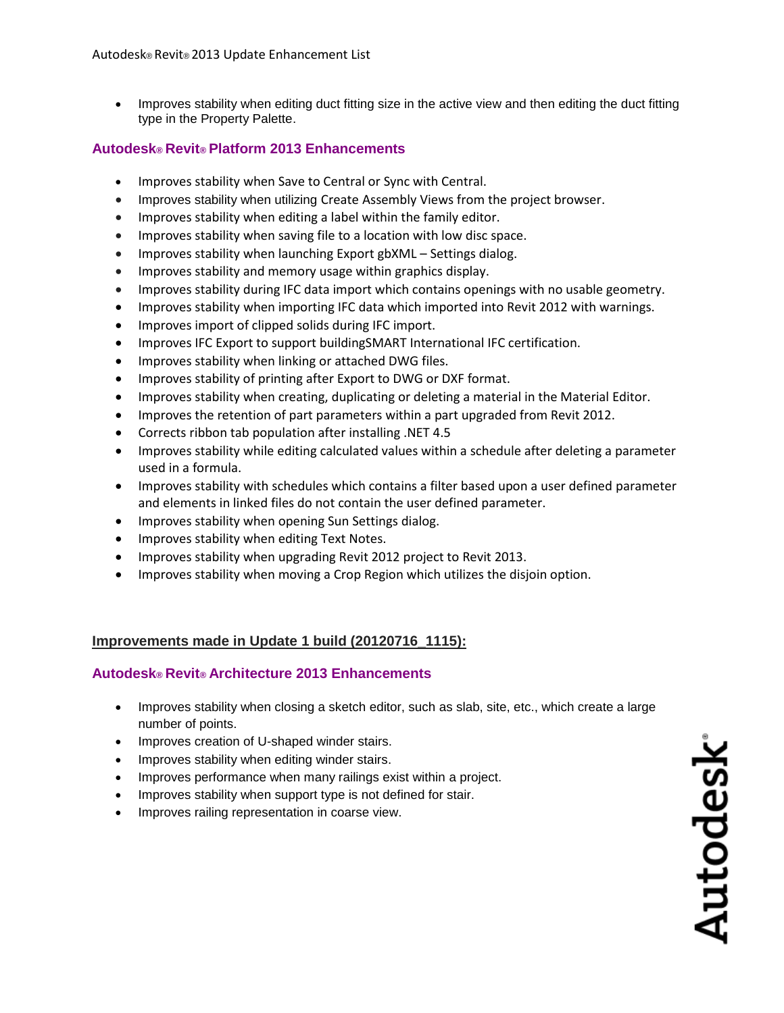• Improves stability when editing duct fitting size in the active view and then editing the duct fitting type in the Property Palette.

#### **Autodesk® Revit® Platform 2013 Enhancements**

- Improves stability when Save to Central or Sync with Central.
- Improves stability when utilizing Create Assembly Views from the project browser.
- Improves stability when editing a label within the family editor.
- Improves stability when saving file to a location with low disc space.
- Improves stability when launching Export gbXML Settings dialog.
- Improves stability and memory usage within graphics display.
- Improves stability during IFC data import which contains openings with no usable geometry.
- Improves stability when importing IFC data which imported into Revit 2012 with warnings.
- Improves import of clipped solids during IFC import.
- Improves IFC Export to support buildingSMART International IFC certification.
- Improves stability when linking or attached DWG files.
- Improves stability of printing after Export to DWG or DXF format.
- Improves stability when creating, duplicating or deleting a material in the Material Editor.
- Improves the retention of part parameters within a part upgraded from Revit 2012.
- Corrects ribbon tab population after installing .NET 4.5
- Improves stability while editing calculated values within a schedule after deleting a parameter used in a formula.
- Improves stability with schedules which contains a filter based upon a user defined parameter and elements in linked files do not contain the user defined parameter.
- **•** Improves stability when opening Sun Settings dialog.
- Improves stability when editing Text Notes.
- Improves stability when upgrading Revit 2012 project to Revit 2013.
- Improves stability when moving a Crop Region which utilizes the disjoin option.

#### **Improvements made in Update 1 build (20120716\_1115):**

#### **Autodesk® Revit® Architecture 2013 Enhancements**

- Improves stability when closing a sketch editor, such as slab, site, etc., which create a large number of points.
- Improves creation of U-shaped winder stairs.
- Improves stability when editing winder stairs.
- Improves performance when many railings exist within a project.
- Improves stability when support type is not defined for stair.
- Improves railing representation in coarse view.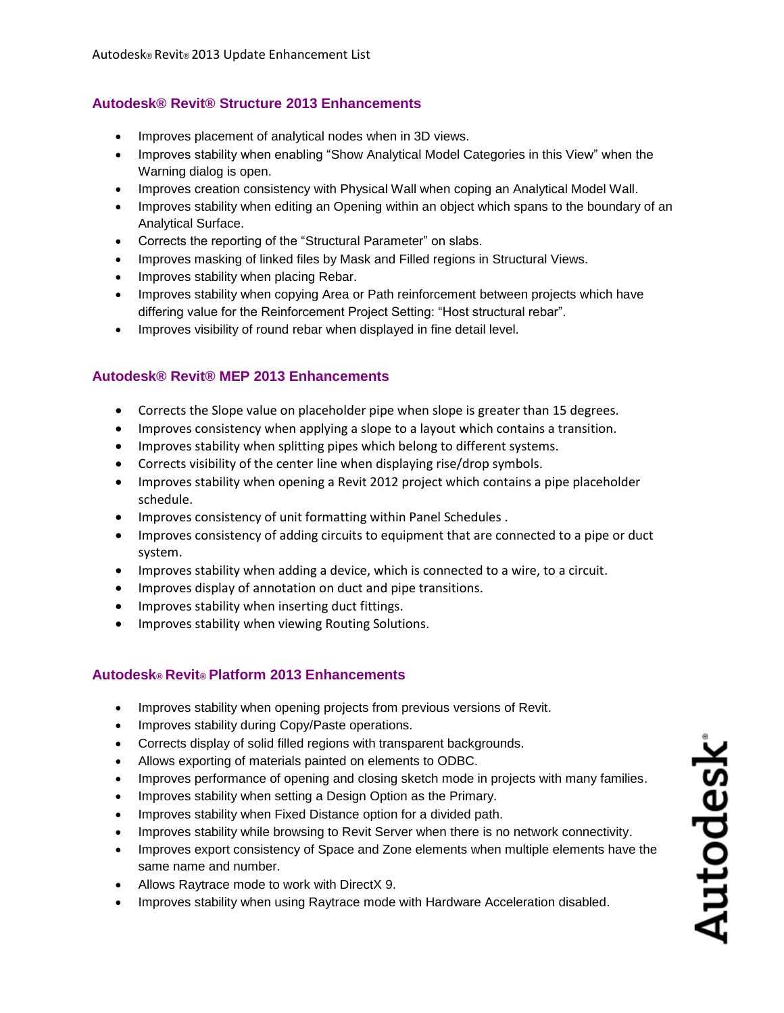# **Autodesk® Revit® Structure 2013 Enhancements**

- Improves placement of analytical nodes when in 3D views.
- Improves stability when enabling "Show Analytical Model Categories in this View" when the Warning dialog is open.
- Improves creation consistency with Physical Wall when coping an Analytical Model Wall.
- Improves stability when editing an Opening within an object which spans to the boundary of an Analytical Surface.
- Corrects the reporting of the "Structural Parameter" on slabs.
- Improves masking of linked files by Mask and Filled regions in Structural Views.
- Improves stability when placing Rebar.
- Improves stability when copying Area or Path reinforcement between projects which have differing value for the Reinforcement Project Setting: "Host structural rebar".
- Improves visibility of round rebar when displayed in fine detail level.

# **Autodesk® Revit® MEP 2013 Enhancements**

- Corrects the Slope value on placeholder pipe when slope is greater than 15 degrees.
- Improves consistency when applying a slope to a layout which contains a transition.
- Improves stability when splitting pipes which belong to different systems.
- Corrects visibility of the center line when displaying rise/drop symbols.
- Improves stability when opening a Revit 2012 project which contains a pipe placeholder schedule.
- Improves consistency of unit formatting within Panel Schedules.
- Improves consistency of adding circuits to equipment that are connected to a pipe or duct system.
- Improves stability when adding a device, which is connected to a wire, to a circuit.
- Improves display of annotation on duct and pipe transitions.
- Improves stability when inserting duct fittings.
- **•** Improves stability when viewing Routing Solutions.

# **Autodesk® Revit® Platform 2013 Enhancements**

- Improves stability when opening projects from previous versions of Revit.
- Improves stability during Copy/Paste operations.
- Corrects display of solid filled regions with transparent backgrounds.
- Allows exporting of materials painted on elements to ODBC.
- Improves performance of opening and closing sketch mode in projects with many families.
- Improves stability when setting a Design Option as the Primary.
- Improves stability when Fixed Distance option for a divided path.
- Improves stability while browsing to Revit Server when there is no network connectivity.
- Improves export consistency of Space and Zone elements when multiple elements have the same name and number.
- Allows Raytrace mode to work with DirectX 9.
- Improves stability when using Raytrace mode with Hardware Acceleration disabled.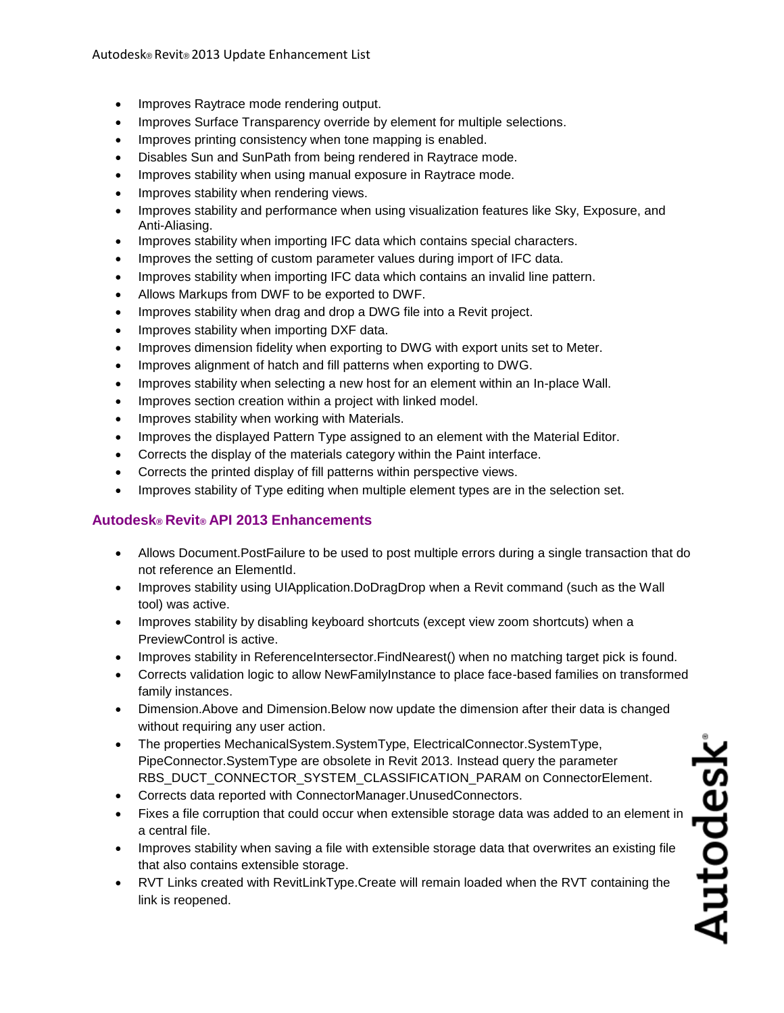- Improves Raytrace mode rendering output.
- Improves Surface Transparency override by element for multiple selections.
- Improves printing consistency when tone mapping is enabled.
- Disables Sun and SunPath from being rendered in Raytrace mode.
- Improves stability when using manual exposure in Raytrace mode.
- Improves stability when rendering views.
- Improves stability and performance when using visualization features like Sky, Exposure, and Anti-Aliasing.
- Improves stability when importing IFC data which contains special characters.
- Improves the setting of custom parameter values during import of IFC data.
- Improves stability when importing IFC data which contains an invalid line pattern.
- Allows Markups from DWF to be exported to DWF.
- Improves stability when drag and drop a DWG file into a Revit project.
- Improves stability when importing DXF data.
- Improves dimension fidelity when exporting to DWG with export units set to Meter.
- Improves alignment of hatch and fill patterns when exporting to DWG.
- Improves stability when selecting a new host for an element within an In-place Wall.
- Improves section creation within a project with linked model.
- Improves stability when working with Materials.
- Improves the displayed Pattern Type assigned to an element with the Material Editor.
- Corrects the display of the materials category within the Paint interface.
- Corrects the printed display of fill patterns within perspective views.
- Improves stability of Type editing when multiple element types are in the selection set.

# **Autodesk® Revit® API 2013 Enhancements**

- Allows Document.PostFailure to be used to post multiple errors during a single transaction that do not reference an ElementId.
- Improves stability using UIApplication.DoDragDrop when a Revit command (such as the Wall tool) was active.
- Improves stability by disabling keyboard shortcuts (except view zoom shortcuts) when a PreviewControl is active.
- Improves stability in ReferenceIntersector.FindNearest() when no matching target pick is found.
- Corrects validation logic to allow NewFamilyInstance to place face-based families on transformed family instances.
- Dimension.Above and Dimension.Below now update the dimension after their data is changed without requiring any user action.
- The properties MechanicalSystem.SystemType, ElectricalConnector.SystemType, PipeConnector.SystemType are obsolete in Revit 2013. Instead query the parameter RBS\_DUCT\_CONNECTOR\_SYSTEM\_CLASSIFICATION\_PARAM on ConnectorElement.
- Corrects data reported with ConnectorManager.UnusedConnectors.
- Fixes a file corruption that could occur when extensible storage data was added to an element in a central file.
- Improves stability when saving a file with extensible storage data that overwrites an existing file that also contains extensible storage.
- RVT Links created with RevitLinkType.Create will remain loaded when the RVT containing the link is reopened.

Autodesk